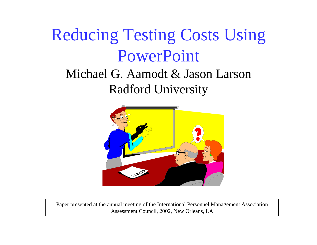# Reducing Testing Costs Using PowerPoint

#### Michael G. Aamodt & Jason LarsonRadford University



Paper presented at the annual meeting of the International Personnel Management Association Assessment Council, 2002, New Orleans, LA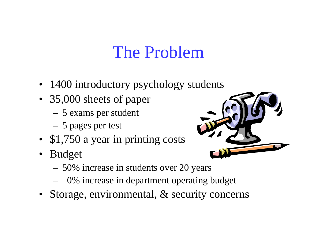#### The Problem

- 1400 introductory psychology students
- 35,000 sheets of paper
	- 5 exams per student
	- 5 pages per test
- \$1,750 a year in printing costs
- Budget
	- 50% increase in students over 20 years
	- 0% increase in department operating budget
- Storage, environmental, & security concerns

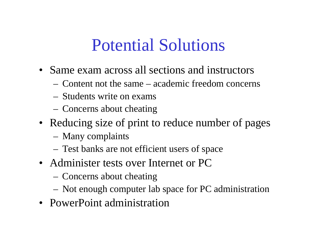#### Potential Solutions

- Same exam across all sections and instructors
	- Content not the same academic freedom concerns
	- Students write on exams
	- Concerns about cheating
- Reducing size of print to reduce number of pages
	- Many complaints
	- Test banks are not efficient users of space
- Administer tests over Internet or PC
	- Concerns about cheating
	- Not enough computer lab space for PC administration
- PowerPoint administration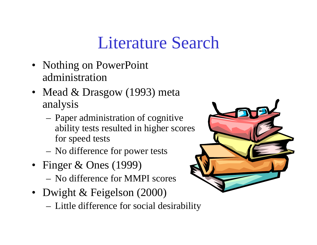#### Literature Search

- Nothing on PowerPoint administration
- Mead & Drasgow (1993) meta analysis
	- Paper administration of cognitive ability tests resulted in higher scores for speed tests
	- No difference for power tests
- Finger & Ones (1999)
	- No difference for MMPI scores
- Dwight & Feigelson (2000)
	- Little difference for social desirability

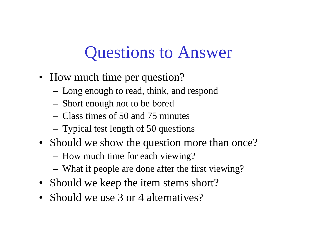#### Questions to Answer

- How much time per question?
	- Long enough to read, think, and respond
	- Short enough not to be bored
	- Class times of 50 and 75 minutes
	- Typical test length of 50 questions
- Should we show the question more than once?
	- How much time for each viewing?
	- What if people are done after the first viewing?
- Should we keep the item stems short?
- Should we use 3 or 4 alternatives?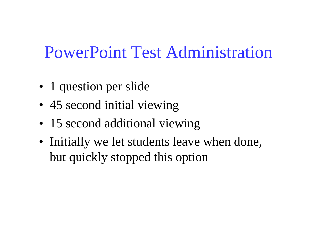PowerPoint Test Administration

- 1 question per slide
- 45 second initial viewing
- 15 second additional viewing
- Initially we let students leave when done, but quickly stopped this option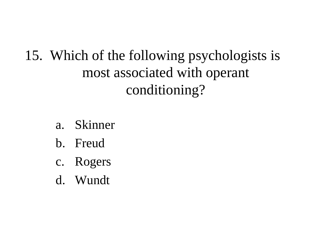15. Which of the following psychologists is most associated with operant conditioning?

- a. Skinner
- b. Freud
- c. Rogers
- d. Wundt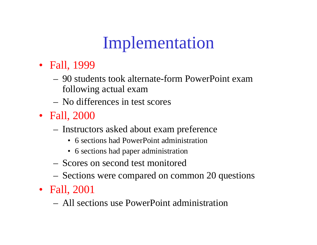# Implementation

- Fall, 1999
	- 90 students took alternate-form PowerPoint exam following actual exam
	- No differences in test scores
- Fall, 2000
	- Instructors asked about exam preference
		- 6 sections had PowerPoint administration
		- 6 sections had paper administration
	- Scores on second test monitored
	- Sections were compared on common 20 questions
- Fall, 2001
	- All sections use PowerPoint administration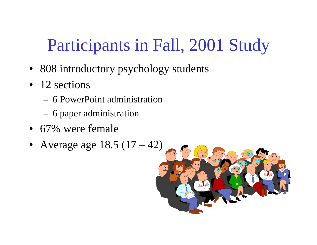# Participants in Fall, 2001 Study

- 808 introductory psychology students
- 12 sections
	- 6 PowerPoint administration
	- 6 paper administration
- 67% were female
- Average age 18.5 (17 42)

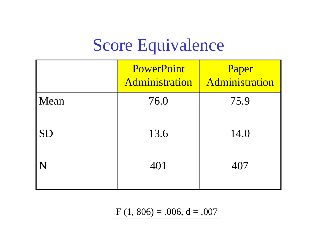## Score Equivalence

|           | PowerPoint<br>Administration | Paper<br>Administration |
|-----------|------------------------------|-------------------------|
| Mean      | 76.0                         | 75.9                    |
| <b>SD</b> | 13.6                         | 14.0                    |
| N         | 401                          | 407                     |

 $F(1, 806) = .006, d = .007$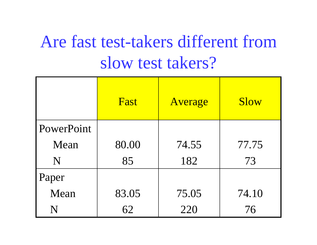# Are fast test-takers different from slow test takers?

|            | Fast  | Average | <b>Slow</b> |
|------------|-------|---------|-------------|
| PowerPoint |       |         |             |
| Mean       | 80.00 | 74.55   | 77.75       |
| N          | 85    | 182     | 73          |
| Paper      |       |         |             |
| Mean       | 83.05 | 75.05   | 74.10       |
| N          | 62    | 220     | 76          |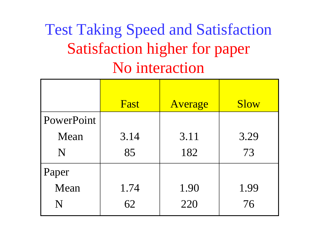#### Test Taking Speed and Satisfaction Satisfaction higher for paper No interaction

|            | Fast | Average | <b>Slow</b> |
|------------|------|---------|-------------|
| PowerPoint |      |         |             |
| Mean       | 3.14 | 3.11    | 3.29        |
| N          | 85   | 182     | 73          |
| Paper      |      |         |             |
| Mean       | 1.74 | 1.90    | 1.99        |
| N          | 62   | 220     | 76          |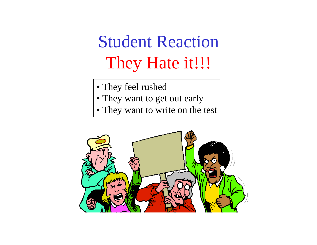# Student Reaction They Hate it!!!

- They feel rushed
- They want to get out early
- They want to write on the test

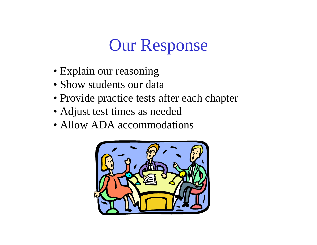# Our Response

- Explain our reasoning
- Show students our data
- Provide practice tests after each chapter
- Adjust test times as needed
- Allow ADA accommodations

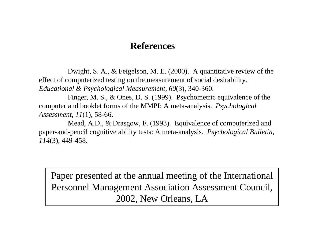#### **References**

Dwight, S. A., & Feigelson, M. E. (2000). A quantitative review of the effect of computerized testing on the measurement of social desirability. *Educational & Psychological Measurement, 60*(3), 340-360.

Finger, M. S., & Ones, D. S. (1999). Psychometric equivalence of the computer and booklet forms of the MMPI: A meta-analysis. *Psychological Assessment, 11*(1), 58-66.

Mead, A.D., & Drasgow, F. (1993). Equivalence of computerized and paper-and-pencil cognitive ability tests: A meta-analysis. *Psychological Bulletin, 114*(3), 449-458.

Paper presented at the annual meeting of the International Personnel Management Association Assessment Council, 2002, New Orleans, LA